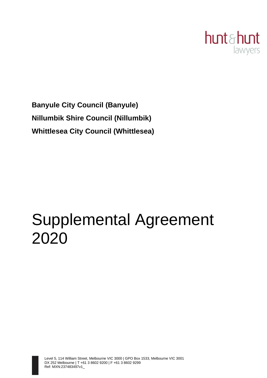

**Banyule City Council (Banyule) Nillumbik Shire Council (Nillumbik) Whittlesea City Council (Whittlesea)**

# Supplemental Agreement 2020

Level 5, 114 William Street, Melbourne VIC 3000 | GPO Box 1533, Melbourne VIC 3001 DX 252 Melbourne | T +61 3 8602 9200 | F +61 3 8602 9299 Ref: MXN:237483497v1\_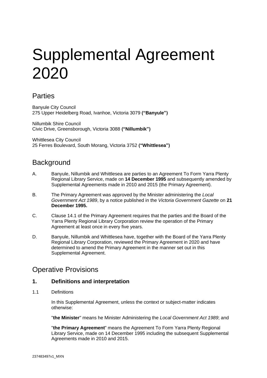# Supplemental Agreement 2020

# **Parties**

Banyule City Council 275 Upper Heidelberg Road, Ivanhoe, Victoria 3079 **("Banyule")**

Nillumbik Shire Council Civic Drive, Greensborough, Victoria 3088 **("Nillumbik")**

Whittlesea City Council 25 Ferres Boulevard, South Morang, Victoria 3752 **("Whittlesea")**

# **Background**

- A. Banyule, Nillumbik and Whittlesea are parties to an Agreement To Form Yarra Plenty Regional Library Service, made on **14 December 1995** and subsequently amended by Supplemental Agreements made in 2010 and 2015 (the Primary Agreement).
- B. The Primary Agreement was approved by the Minister administering the *Local Government Act 1989*, by a notice published in the *Victoria Government Gazette* on **21 December 1995.**
- C. Clause 14.1 of the Primary Agreement requires that the parties and the Board of the Yarra Plenty Regional Library Corporation review the operation of the Primary Agreement at least once in every five years.
- D. Banyule, Nillumbik and Whittlesea have, together with the Board of the Yarra Plenty Regional Library Corporation, reviewed the Primary Agreement in 2020 and have determined to amend the Primary Agreement in the manner set out in this Supplemental Agreement.

# Operative Provisions

## **1. Definitions and interpretation**

1.1 Definitions

In this Supplemental Agreement, unless the context or subject-matter indicates otherwise:

"**the Minister**" means he Minister Administering the *Local Government Act 1989*; and

"**the Primary Agreement**" means the Agreement To Form Yarra Plenty Regional Library Service, made on 14 December 1995 including the subsequent Supplemental Agreements made in 2010 and 2015.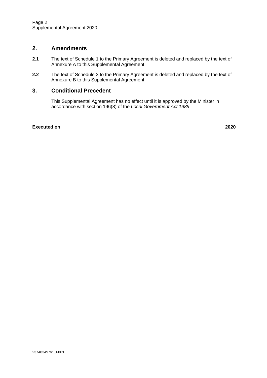## **2. Amendments**

- **2.1** The text of Schedule 1 to the Primary Agreement is deleted and replaced by the text of Annexure A to this Supplemental Agreement.
- **2.2** The text of Schedule 3 to the Primary Agreement is deleted and replaced by the text of Annexure B to this Supplemental Agreement.

## **3. Conditional Precedent**

This Supplemental Agreement has no effect until it is approved by the Minister in accordance with section 196(8) of the *Local Government Act 1989*.

#### **Executed on 2020**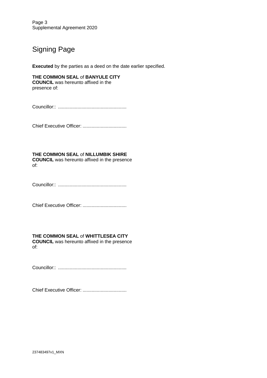Page 3 Supplemental Agreement 2020

# Signing Page

**Executed** by the parties as a deed on the date earlier specified.

**THE COMMON SEAL** of **BANYULE CITY COUNCIL** was hereunto affixed in the presence of:

Councillor:: .....................................................

Chief Executive Officer: ..................................

**THE COMMON SEAL** of **NILLUMBIK SHIRE COUNCIL** was hereunto affixed in the presence of:

Councillor:: .....................................................

Chief Executive Officer: ..................................

## **THE COMMON SEAL** of **WHITTLESEA CITY**

**COUNCIL** was hereunto affixed in the presence of:

Councillor:: .....................................................

Chief Executive Officer: ..................................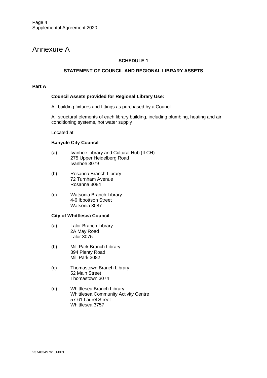# Annexure A

## **SCHEDULE 1**

#### **STATEMENT OF COUNCIL AND REGIONAL LIBRARY ASSETS**

#### **Part A**

#### **Council Assets provided for Regional Library Use:**

All building fixtures and fittings as purchased by a Council

All structural elements of each library building, including plumbing, heating and air conditioning systems, hot water supply

Located at:

#### **Banyule City Council**

- (a) Ivanhoe Library and Cultural Hub (ILCH) 275 Upper Heidelberg Road Ivanhoe 3079
- (b) Rosanna Branch Library 72 Turnham Avenue Rosanna 3084
- (c) Watsonia Branch Library 4-6 Ibbottson Street Watsonia 3087

#### **City of Whittlesea Council**

- (a) Lalor Branch Library 2A May Road Lalor 3075
- (b) Mill Park Branch Library 394 Plenty Road Mill Park 3082
- (c) Thomastown Branch Library 52 Main Street Thomastown 3074
- (d) Whittlesea Branch Library Whittlesea Community Activity Centre 57-61 Laurel Street Whittlesea 3757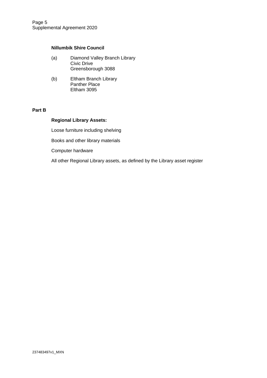## **Nillumbik Shire Council**

- (a) Diamond Valley Branch Library Civic Drive Greensborough 3088
- (b) Eltham Branch Library Panther Place Eltham 3095

#### **Part B**

#### **Regional Library Assets:**

Loose furniture including shelving

Books and other library materials

Computer hardware

All other Regional Library assets, as defined by the Library asset register